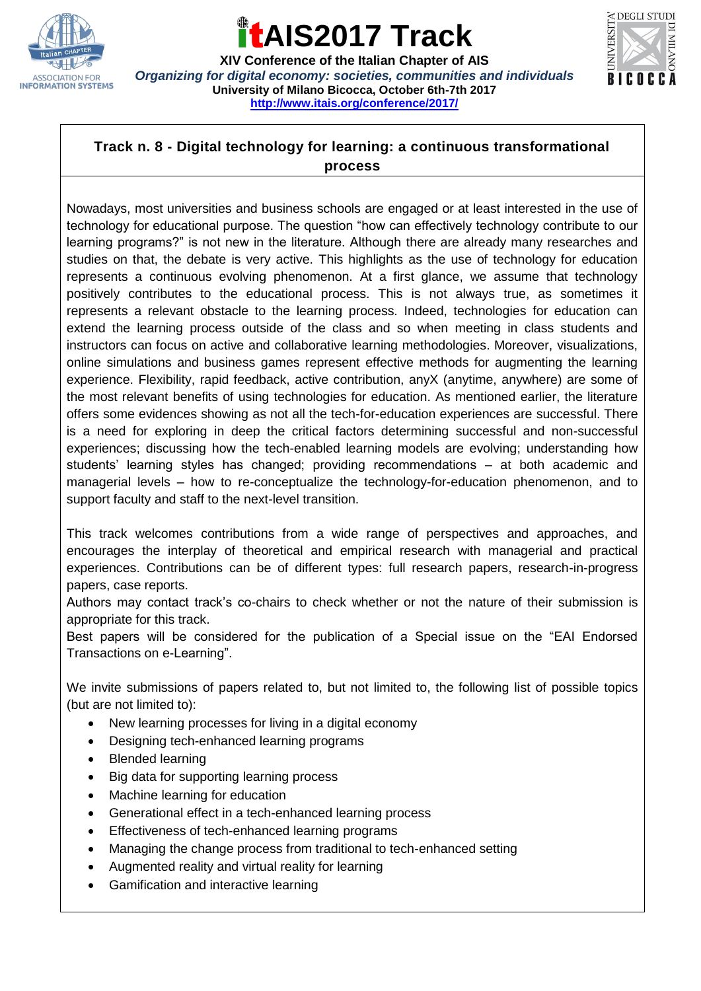

### **AIS2017 Track**

**XIV Conference of the Italian Chapter of AIS** *Organizing for digital economy: societies, communities and individuals* **University of Milano Bicocca, October 6th-7th 2017 <http://www.itais.org/conference/2017/>**



### **Track n. 8 - Digital technology for learning: a continuous transformational process**

Nowadays, most universities and business schools are engaged or at least interested in the use of technology for educational purpose. The question "how can effectively technology contribute to our learning programs?" is not new in the literature. Although there are already many researches and studies on that, the debate is very active. This highlights as the use of technology for education represents a continuous evolving phenomenon. At a first glance, we assume that technology positively contributes to the educational process. This is not always true, as sometimes it represents a relevant obstacle to the learning process. Indeed, technologies for education can extend the learning process outside of the class and so when meeting in class students and instructors can focus on active and collaborative learning methodologies. Moreover, visualizations, online simulations and business games represent effective methods for augmenting the learning experience. Flexibility, rapid feedback, active contribution, anyX (anytime, anywhere) are some of the most relevant benefits of using technologies for education. As mentioned earlier, the literature offers some evidences showing as not all the tech-for-education experiences are successful. There is a need for exploring in deep the critical factors determining successful and non-successful experiences; discussing how the tech-enabled learning models are evolving; understanding how students' learning styles has changed; providing recommendations – at both academic and managerial levels – how to re-conceptualize the technology-for-education phenomenon, and to support faculty and staff to the next-level transition.

This track welcomes contributions from a wide range of perspectives and approaches, and encourages the interplay of theoretical and empirical research with managerial and practical experiences. Contributions can be of different types: full research papers, research-in-progress papers, case reports.

Authors may contact track's co-chairs to check whether or not the nature of their submission is appropriate for this track.

Best papers will be considered for the publication of a Special issue on the "EAI Endorsed Transactions on e-Learning".

We invite submissions of papers related to, but not limited to, the following list of possible topics (but are not limited to):

- New learning processes for living in a digital economy
- Designing tech-enhanced learning programs
- Blended learning
- Big data for supporting learning process
- Machine learning for education
- Generational effect in a tech-enhanced learning process
- Effectiveness of tech-enhanced learning programs
- Managing the change process from traditional to tech-enhanced setting
- Augmented reality and virtual reality for learning
- Gamification and interactive learning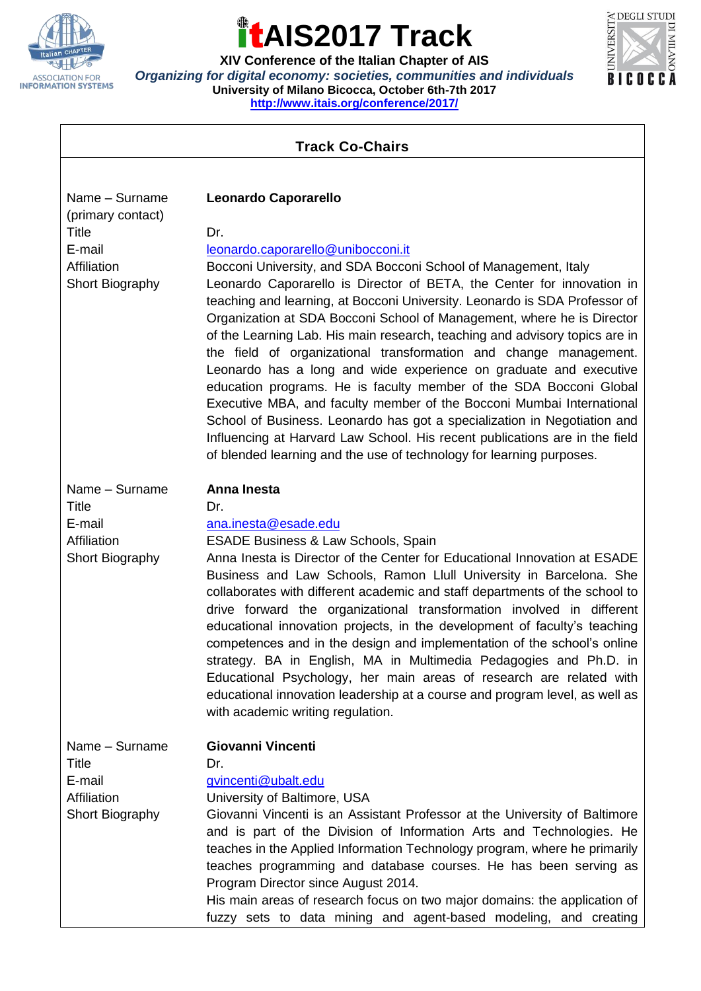

# **AIS2017 Track**

**XIV Conference of the Italian Chapter of AIS** *Organizing for digital economy: societies, communities and individuals* **University of Milano Bicocca, October 6th-7th 2017 <http://www.itais.org/conference/2017/>**



| <b>Track Co-Chairs</b>                                                                          |                                                                                                                                                                                                                                                                                                                                                                                                                                                                                                                                                                                                                                                                                                                                                                                                                                                                                                                                                                                          |
|-------------------------------------------------------------------------------------------------|------------------------------------------------------------------------------------------------------------------------------------------------------------------------------------------------------------------------------------------------------------------------------------------------------------------------------------------------------------------------------------------------------------------------------------------------------------------------------------------------------------------------------------------------------------------------------------------------------------------------------------------------------------------------------------------------------------------------------------------------------------------------------------------------------------------------------------------------------------------------------------------------------------------------------------------------------------------------------------------|
|                                                                                                 |                                                                                                                                                                                                                                                                                                                                                                                                                                                                                                                                                                                                                                                                                                                                                                                                                                                                                                                                                                                          |
| Name - Surname<br>(primary contact)<br><b>Title</b><br>E-mail<br>Affiliation<br>Short Biography | <b>Leonardo Caporarello</b><br>Dr.<br>leonardo.caporarello@unibocconi.it<br>Bocconi University, and SDA Bocconi School of Management, Italy<br>Leonardo Caporarello is Director of BETA, the Center for innovation in<br>teaching and learning, at Bocconi University. Leonardo is SDA Professor of<br>Organization at SDA Bocconi School of Management, where he is Director<br>of the Learning Lab. His main research, teaching and advisory topics are in<br>the field of organizational transformation and change management.<br>Leonardo has a long and wide experience on graduate and executive<br>education programs. He is faculty member of the SDA Bocconi Global<br>Executive MBA, and faculty member of the Bocconi Mumbai International<br>School of Business. Leonardo has got a specialization in Negotiation and<br>Influencing at Harvard Law School. His recent publications are in the field<br>of blended learning and the use of technology for learning purposes. |
| Name - Surname<br><b>Title</b><br>E-mail<br>Affiliation<br><b>Short Biography</b>               | Anna Inesta<br>Dr.<br>ana.inesta@esade.edu<br><b>ESADE Business &amp; Law Schools, Spain</b><br>Anna Inesta is Director of the Center for Educational Innovation at ESADE<br>Business and Law Schools, Ramon Llull University in Barcelona. She<br>collaborates with different academic and staff departments of the school to<br>drive forward the organizational transformation involved in different<br>educational innovation projects, in the development of faculty's teaching<br>competences and in the design and implementation of the school's online<br>strategy. BA in English, MA in Multimedia Pedagogies and Ph.D. in<br>Educational Psychology, her main areas of research are related with<br>educational innovation leadership at a course and program level, as well as<br>with academic writing regulation.                                                                                                                                                          |
| Name - Surname<br>Title<br>E-mail<br>Affiliation<br><b>Short Biography</b>                      | Giovanni Vincenti<br>Dr.<br>gvincenti@ubalt.edu<br>University of Baltimore, USA<br>Giovanni Vincenti is an Assistant Professor at the University of Baltimore<br>and is part of the Division of Information Arts and Technologies. He<br>teaches in the Applied Information Technology program, where he primarily<br>teaches programming and database courses. He has been serving as<br>Program Director since August 2014.<br>His main areas of research focus on two major domains: the application of<br>fuzzy sets to data mining and agent-based modeling, and creating                                                                                                                                                                                                                                                                                                                                                                                                           |